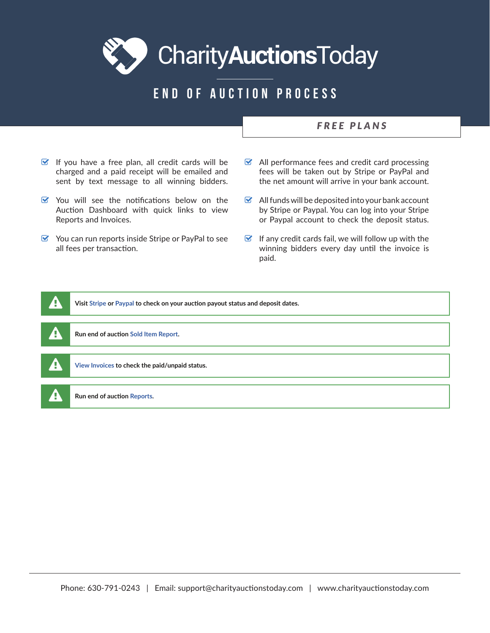Charity**Auctions**Today

## END OF AUCTION PROCESS

## *FREE PLANS*

- $\triangleright$  If you have a free plan, all credit cards will be charged and a paid receipt will be emailed and sent by text message to all winning bidders.
- $\triangledown$  You will see the notifications below on the Auction Dashboard with quick links to view Reports and Invoices.
- $\triangleright$  You can run reports inside Stripe or PayPal to see all fees per transaction.
- $\triangleright$  All performance fees and credit card processing fees will be taken out by Stripe or PayPal and the net amount will arrive in your bank account.
- $\bullet$  All funds will be deposited into your bank account by Stripe or Paypal. You can log into your Stripe or Paypal account to check the deposit status.
- $\triangleright$  If any credit cards fail, we will follow up with the winning bidders every day until the invoice is paid.

| ₽   | Visit Stripe or Paypal to check on your auction payout status and deposit dates. |
|-----|----------------------------------------------------------------------------------|
|     |                                                                                  |
| φ   | Run end of auction Sold Item Report.                                             |
|     |                                                                                  |
| 7Ţ  | View Invoices to check the paid/unpaid status.                                   |
|     |                                                                                  |
| vi, | Run end of auction Reports.                                                      |